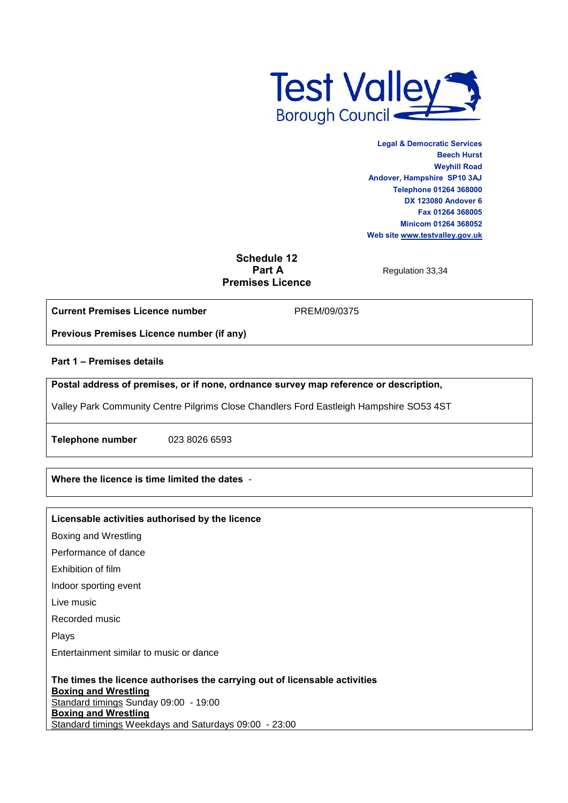

**Legal & Democratic Services Beech Hurst Weyhill Road Andover, Hampshire SP10 3AJ Telephone 01264 368000 DX 123080 Andover 6 Fax 01264 368005 Minicom 01264 368052 Web sit[e www.testvalley.gov.uk](http://www.testvalley.gov.uk/)**

# **Schedule 12 Premises Licence**

**Regulation 33,34** 

**Current Premises Licence number**

PREM/09/0375

**Previous Premises Licence number (if any)**

**Part 1 – Premises details** 

**Postal address of premises, or if none, ordnance survey map reference or description,** 

Valley Park Community Centre Pilgrims Close Chandlers Ford Eastleigh Hampshire SO53 4ST

**Telephone number** 023 8026 6593

**Where the licence is time limited the dates** -

#### **Licensable activities authorised by the licence**

Boxing and Wrestling

Performance of dance

Exhibition of film

Indoor sporting event

Live music

Recorded music

Plays

Entertainment similar to music or dance

**The times the licence authorises the carrying out of licensable activities Boxing and Wrestling** Standard timings Sunday 09:00 - 19:00 **Boxing and Wrestling** Standard timings Weekdays and Saturdays 09:00 - 23:00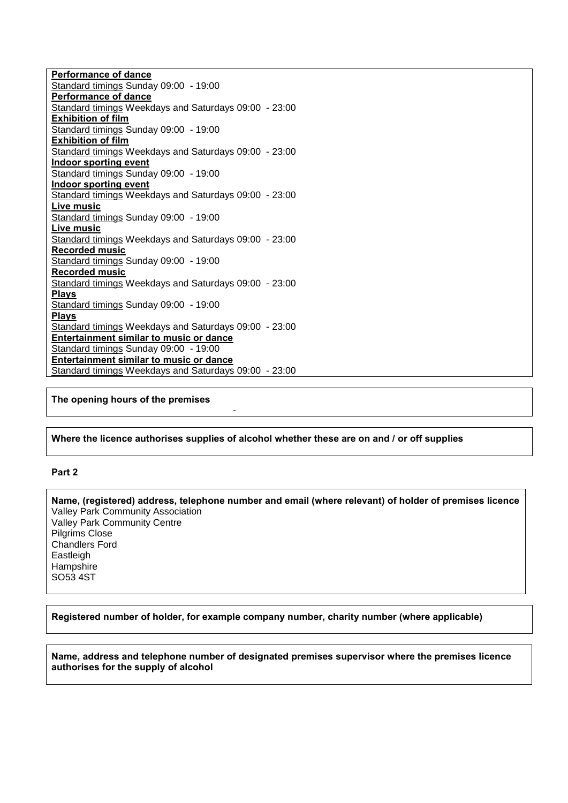**Performance of dance** Standard timings Sunday 09:00 - 19:00 **Performance of dance** Standard timings Weekdays and Saturdays 09:00 - 23:00 **Exhibition of film** Standard timings Sunday 09:00 - 19:00 **Exhibition of film** Standard timings Weekdays and Saturdays 09:00 - 23:00 **Indoor sporting event** Standard timings Sunday 09:00 - 19:00 **Indoor sporting event** Standard timings Weekdays and Saturdays 09:00 - 23:00 **Live music** Standard timings Sunday 09:00 - 19:00 **Live music** Standard timings Weekdays and Saturdays 09:00 - 23:00 **Recorded music** Standard timings Sunday 09:00 - 19:00 **Recorded music** Standard timings Weekdays and Saturdays 09:00 - 23:00 **Plays** Standard timings Sunday 09:00 - 19:00 **Plays** Standard timings Weekdays and Saturdays 09:00 - 23:00 **Entertainment similar to music or dance** Standard timings Sunday 09:00 - 19:00 **Entertainment similar to music or dance** Standard timings Weekdays and Saturdays 09:00 - 23:00

## **The opening hours of the premises**

#### **Where the licence authorises supplies of alcohol whether these are on and / or off supplies**

-

#### **Part 2**

**Name, (registered) address, telephone number and email (where relevant) of holder of premises licence** Valley Park Community Association Valley Park Community Centre Pilgrims Close Chandlers Ford Eastleigh **Hampshire** SO53 4ST

**Registered number of holder, for example company number, charity number (where applicable)**

**Name, address and telephone number of designated premises supervisor where the premises licence authorises for the supply of alcohol**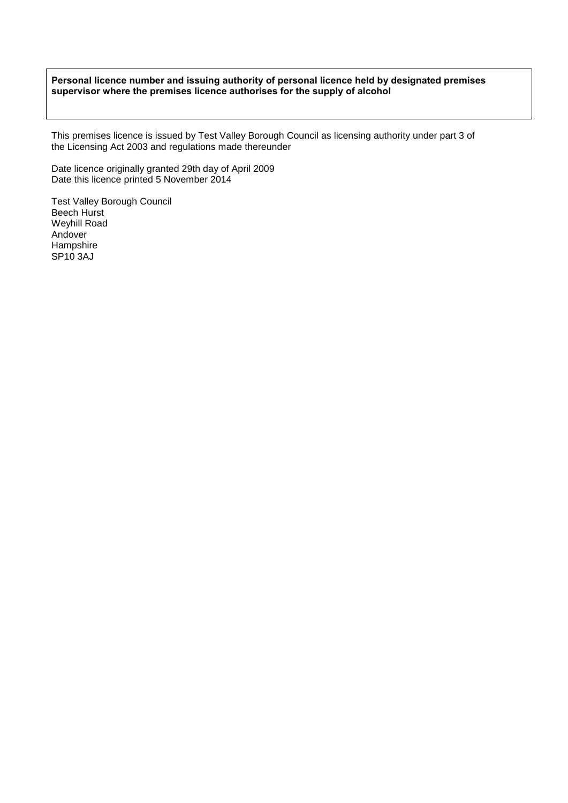#### **Personal licence number and issuing authority of personal licence held by designated premises supervisor where the premises licence authorises for the supply of alcohol**

This premises licence is issued by Test Valley Borough Council as licensing authority under part 3 of the Licensing Act 2003 and regulations made thereunder

Date licence originally granted 29th day of April 2009 Date this licence printed 5 November 2014

Test Valley Borough Council Beech Hurst Weyhill Road Andover Hampshire SP<sub>10</sub> 3AJ